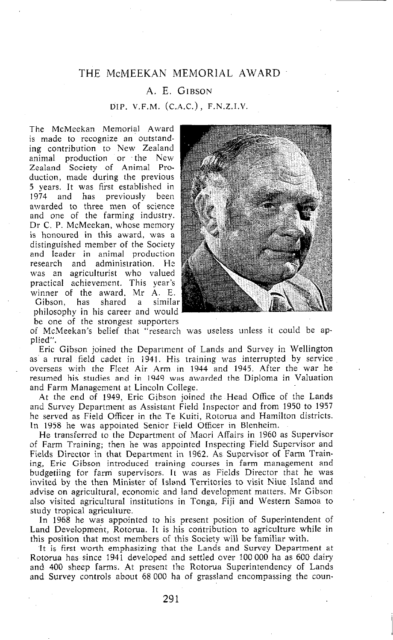# THE McMEEKAN MEMORIAL AWARD

#### A. E. GIBSON

### DIP. V.F.M. (C.A.C.), F.N.Z.I.V.

The McMeekan Memorial Award is made to recognize an outstanding contribution to New Zealand animal production or the New Zealand Society of Animal Production, made during the previous 5 years. It was first established in 1974 and has previously been awarded to three men of science and one of the farming industry. Dr C. P. McMeekan, whose memory is honoured in this award, was a distinguished member of the Society and leader in animal production research and administration. He was an agriculturist who valued practical achievement. This year's winner of the award, Mr A. E. Gibson, has shared a similar philosophy in his career and would be one of the strongest supporters



of McMeekan's belief that "research was useless unless it could be applied".

Eric Gibson joined the Department of Lands and Survey in Wellington as a rural field cadet in 1941. His training was interrupted by service overseas with the Fleet Air Arm in 1944 and 1945, After the war he resumed his studies and in 1949 was awarded the Diploma in Valuation and Farm Management at Lincoln Coilege.

At the end of 1949, Eric Gibson joined the Head Office of the Lands and Survey Department as Assistant Field Inspector and from 1950 to 1957 he served as Field Officer in the Te Kuiti, Rotorua and Hamilton districts. In 1958 he was appointed Senior Field Officer in Blenheim.

He transferred to the Department of Maori Affairs in 1960 as Supervisor of Farm Training; then he was appointed Inspecting Field Supervisor and Fields Director in that Department in 1962. As Supervisor of Farm Training, Eric Gibson introduced training courses in farm management and budgetiing for farm supervisors. It was as Fields Director that he was invited by the then Minister of Island Territories to visit Niue Island and advise on agricultural, economic and land development matters. Mr Gibson also visited agricultural institutions in Tonga, Fiji and Western Samoa to study tropical agriculture.

In 1968 he was appointed to his present position of Superintendent of Land Development, Rotorua. It is his contribution to agriculture while in this position that most members of this Society will be familiar with.

It is first worth emphasizing that the Lands and Survey Department at Rotorua has since 1941 developed and settled over 100 000 ha as 600 dairy and 400 sheep farms. At present the Rotorua Superintendency of Lands and Survey controls about 68 000 ha of grassland encompassing the coun-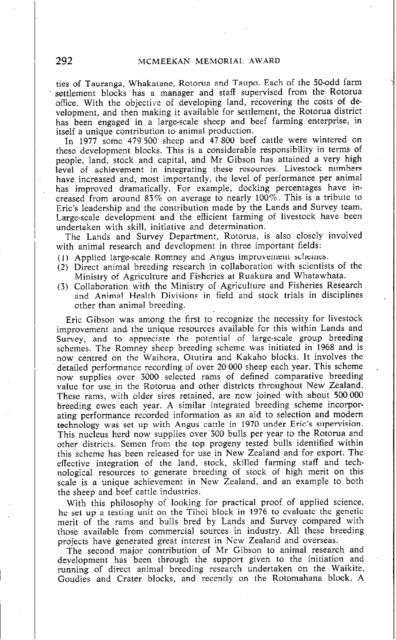### <sup>I</sup>292 **MCMEEKAN MEMORIAL. AWARD**

ties of Tauranga, Whakatane, Rotorua and Taupo. Each of the 50-odd farm settlement blocks has a manager and staff supervised from the Rotorua office. With the objective of developing land, recovering the costs of development, and then making it available for settlement, the Rotorua district has been engaged in a large-scale sheep and beef farming enterprise, in itself a unique contribution to animal production.

In 1977 some 479 500 sheep and 47 800 beef cattle were wintered on these development blocks. This is a considerable responsibility in terms of people, land, stock and capital, and Mr Gibson has attained a very high level of achievement in integrating these resources. Livestock numbers have increased and, most importantly, the level of performance per animal has improved dramatically. For example, docking percentages have increased from around 83% on average to nearly 100%. This is a tribute to Eric's leadership and the contribution made by the Lands and Survey team. Large-scale development and the efficient farming of livestock have been undertaken with skill, initiative and determination.

The Lands and Survey Department, Rotorua, is also closely involved with animal research and development in three important fields:

- (1) Applied large-scale Romney and Angus improvement schemes.
- (2) Direct animal breeding research in collaboration with scientists of the Ministry of Agriculture and Fisheries at Ruakura and Whatawhata.
- (3) Collaboration with the Ministry of Agriculture and Fisheries Research and Animal Health Divisions in field and stock trials in disciplines other than animal breeding.

,

Eric Gibson was among the first to recognize the necessity for livestock improvement and the unique resources available for this within Lands and Survey, and to appreciate the potential of large-scale group breeding schemes. The Romney sheep breeding scheme was initiated in 1968 and is now centred on the Waihora, Otutira and Kakaho blocks. It involves the detailed performance recording of over 20 000 sheep each year. This scheme now supplies over 3000 selected rams of defined comparative breeding value for use in the Rotorua and other districts throughout New Zealand. These rams, with older sires retained, are now joined with about 500 000 breeding ewes each year. A similar integrated breeding scheme incorporating performance recorded information as an aid to selection and modem technology was set up with Angus cattle in 1970 under Eric's supervision. This nucleus herd now supplies over 300 bulls per year to the Rotorua and other districts. Semen from the top progeny tested bulls identified within this scheme has been released for use in-New Zealand and for export. The effective integration of the land, stock, skilled farming staff and technological resources to generate breeding of stock of high merit on this scale is a unique achievement in New Zealand, and an example to both the sheep and beef cattle industries.

With this philosophy of looking for practical proof of applied science, he set up a testing unit on the Tihoi block in 1976 to evaluate the genetic merit of the rams and bulls bred bv Lands and Survey compared with those available from commercial sources in industry. All these breeding projects have generated great interest in New Zealand and overseas.

The second major contribution of Mr Gibson to animal research and development has been through the support given to the initiation and running of direct animal breeding research undertaken on the Waikite, Goudies and Crater blocks, and recently on the Rotomahana block. A